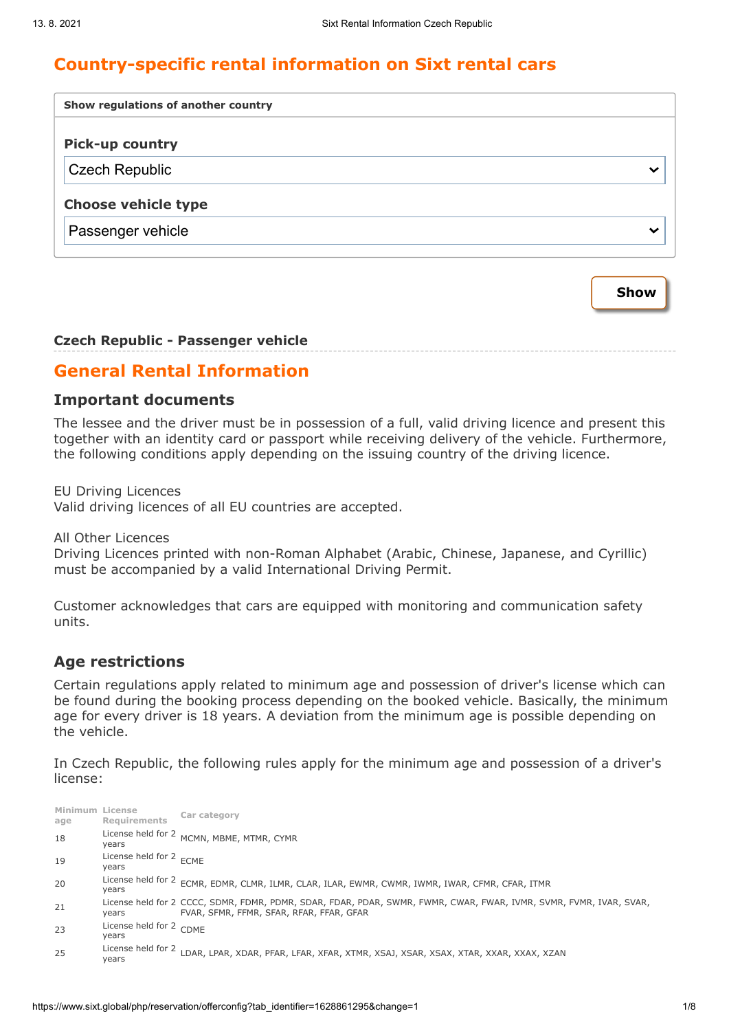# **Country-specific rental information on Sixt rental cars**

| Show regulations of another country |   |  |  |  |
|-------------------------------------|---|--|--|--|
| <b>Pick-up country</b>              |   |  |  |  |
| <b>Czech Republic</b>               | ີ |  |  |  |
| <b>Choose vehicle type</b>          |   |  |  |  |
| Passenger vehicle                   | ◡ |  |  |  |
|                                     |   |  |  |  |

#### **Czech Republic - Passenger vehicle**

## **General Rental Information**

#### **Important documents**

The lessee and the driver must be in possession of a full, valid driving licence and present this together with an identity card or passport while receiving delivery of the vehicle. Furthermore, the following conditions apply depending on the issuing country of the driving licence.

EU Driving Licences

Valid driving licences of all EU countries are accepted.

All Other Licences

Driving Licences printed with non-Roman Alphabet (Arabic, Chinese, Japanese, and Cyrillic) must be accompanied by a valid International Driving Permit.

Customer acknowledges that cars are equipped with monitoring and communication safety units.

#### **Age restrictions**

Certain regulations apply related to minimum age and possession of driver's license which can be found during the booking process depending on the booked vehicle. Basically, the minimum age for every driver is 18 years. A deviation from the minimum age is possible depending on the vehicle.

In Czech Republic, the following rules apply for the minimum age and possession of a driver's license:

| Minimum License<br>age | <b>Requirements</b>                         | Car category                                                                                                                                                   |
|------------------------|---------------------------------------------|----------------------------------------------------------------------------------------------------------------------------------------------------------------|
| 18                     | years                                       | License held for 2 MCMN, MBME, MTMR, CYMR                                                                                                                      |
| 19                     | License held for 2 <sub>ECME</sub><br>years |                                                                                                                                                                |
| 20                     | years                                       | License held for 2 ECMR, EDMR, CLMR, ILMR, CLAR, ILAR, EWMR, CWMR, IWMR, IWAR, CFMR, CFAR, ITMR                                                                |
| 21                     | years                                       | License held for 2 CCCC, SDMR, FDMR, PDMR, SDAR, FDAR, PDAR, SWMR, FWMR, CWAR, FWAR, IVMR, SVMR, FVMR, IVAR, SVAR,<br>FVAR, SFMR, FFMR, SFAR, RFAR, FFAR, GFAR |
| 23                     | License held for 2 CDME<br>years            |                                                                                                                                                                |
| 25                     | License held for 2<br>years                 | LDAR, LPAR, XDAR, PFAR, LFAR, XFAR, XTMR, XSAJ, XSAR, XSAX, XTAR, XXAR, XXAX, XZAN                                                                             |

**Show**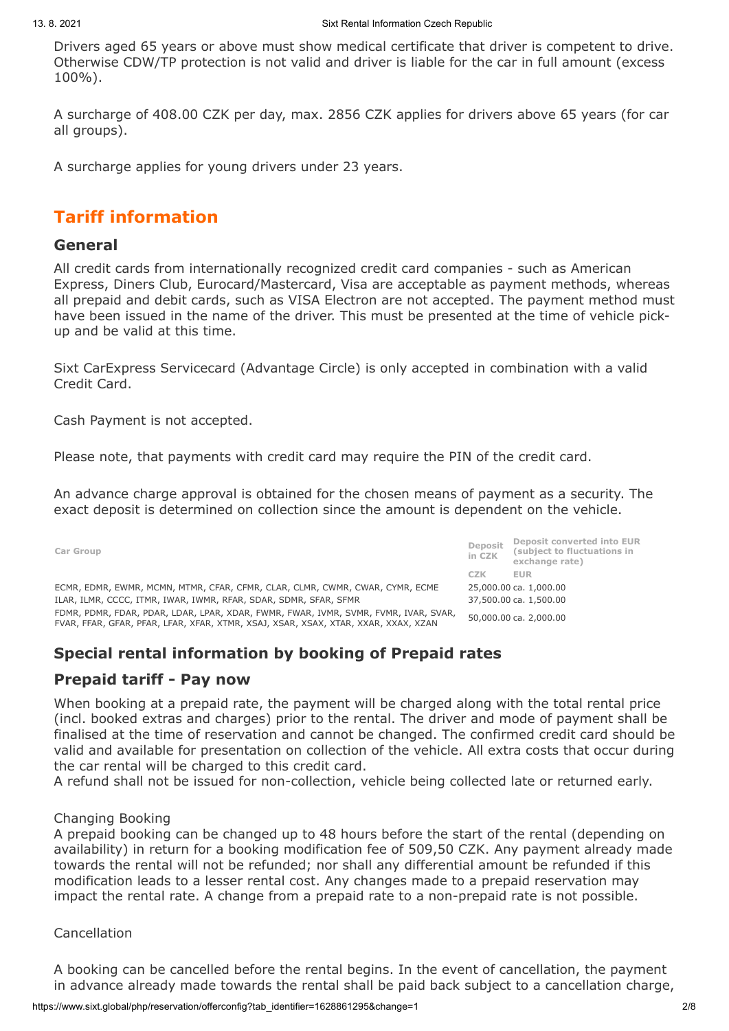Drivers aged 65 years or above must show medical certificate that driver is competent to drive. Otherwise CDW/TP protection is not valid and driver is liable for the car in full amount (excess 100%).

A surcharge of 408.00 CZK per day, max. 2856 CZK applies for drivers above 65 years (for car all groups).

A surcharge applies for young drivers under 23 years.

# **Tariff information**

#### **General**

All credit cards from internationally recognized credit card companies - such as American Express, Diners Club, Eurocard/Mastercard, Visa are acceptable as payment methods, whereas all prepaid and debit cards, such as VISA Electron are not accepted. The payment method must have been issued in the name of the driver. This must be presented at the time of vehicle pickup and be valid at this time.

Sixt CarExpress Servicecard (Advantage Circle) is only accepted in combination with a valid Credit Card.

Cash Payment is not accepted.

Please note, that payments with credit card may require the PIN of the credit card.

An advance charge approval is obtained for the chosen means of payment as a security. The exact deposit is determined on collection since the amount is dependent on the vehicle.

| Car Group                                                                                                                                                                 | Deposit<br>in CZK      | Deposit converted into EUR<br>(subject to fluctuations in<br>exchange rate) |
|---------------------------------------------------------------------------------------------------------------------------------------------------------------------------|------------------------|-----------------------------------------------------------------------------|
|                                                                                                                                                                           | <b>CZK</b>             | <b>EUR</b>                                                                  |
| ECMR, EDMR, EWMR, MCMN, MTMR, CFAR, CFMR, CLAR, CLMR, CWMR, CWAR, CYMR, ECME                                                                                              | 25,000.00 ca. 1,000.00 |                                                                             |
| ILAR, ILMR, CCCC, ITMR, IWAR, IWMR, RFAR, SDAR, SDMR, SFAR, SFMR                                                                                                          |                        | 37,500,00 ca. 1,500,00                                                      |
| FDMR, PDMR, FDAR, PDAR, LDAR, LPAR, XDAR, FWMR, FWAR, IVMR, SVMR, FVMR, IVAR, SVAR,<br>FVAR, FFAR, GFAR, PFAR, LFAR, XFAR, XTMR, XSAJ, XSAR, XSAX, XTAR, XXAR, XXAX, XZAN | 50,000,00 ca. 2,000,00 |                                                                             |

# **Special rental information by booking of Prepaid rates**

# **Prepaid tariff - Pay now**

When booking at a prepaid rate, the payment will be charged along with the total rental price (incl. booked extras and charges) prior to the rental. The driver and mode of payment shall be finalised at the time of reservation and cannot be changed. The confirmed credit card should be valid and available for presentation on collection of the vehicle. All extra costs that occur during the car rental will be charged to this credit card.

A refund shall not be issued for non-collection, vehicle being collected late or returned early.

#### Changing Booking

A prepaid booking can be changed up to 48 hours before the start of the rental (depending on availability) in return for a booking modification fee of 509,50 CZK. Any payment already made towards the rental will not be refunded; nor shall any differential amount be refunded if this modification leads to a lesser rental cost. Any changes made to a prepaid reservation may impact the rental rate. A change from a prepaid rate to a non-prepaid rate is not possible.

#### Cancellation

A booking can be cancelled before the rental begins. In the event of cancellation, the payment in advance already made towards the rental shall be paid back subject to a cancellation charge,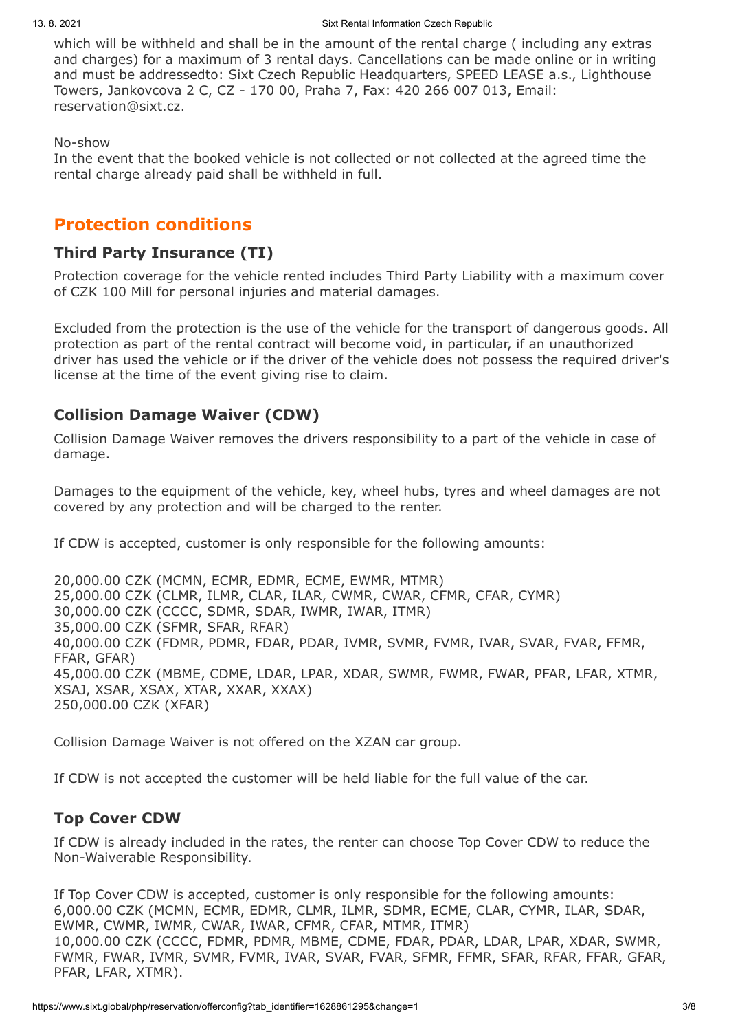which will be withheld and shall be in the amount of the rental charge ( including any extras and charges) for a maximum of 3 rental days. Cancellations can be made online or in writing and must be addressedto: Sixt Czech Republic Headquarters, SPEED LEASE a.s., Lighthouse Towers, Jankovcova 2 C, CZ - 170 00, Praha 7, Fax: 420 266 007 013, Email: reservation@sixt.cz.

No-show

In the event that the booked vehicle is not collected or not collected at the agreed time the rental charge already paid shall be withheld in full.

# **Protection conditions**

### **Third Party Insurance (TI)**

Protection coverage for the vehicle rented includes Third Party Liability with a maximum cover of CZK 100 Mill for personal injuries and material damages.

Excluded from the protection is the use of the vehicle for the transport of dangerous goods. All protection as part of the rental contract will become void, in particular, if an unauthorized driver has used the vehicle or if the driver of the vehicle does not possess the required driver's license at the time of the event giving rise to claim.

## **Collision Damage Waiver (CDW)**

Collision Damage Waiver removes the drivers responsibility to a part of the vehicle in case of damage.

Damages to the equipment of the vehicle, key, wheel hubs, tyres and wheel damages are not covered by any protection and will be charged to the renter.

If CDW is accepted, customer is only responsible for the following amounts:

20,000.00 CZK (MCMN, ECMR, EDMR, ECME, EWMR, MTMR) 25,000.00 CZK (CLMR, ILMR, CLAR, ILAR, CWMR, CWAR, CFMR, CFAR, CYMR) 30,000.00 CZK (CCCC, SDMR, SDAR, IWMR, IWAR, ITMR) 35,000.00 CZK (SFMR, SFAR, RFAR) 40,000.00 CZK (FDMR, PDMR, FDAR, PDAR, IVMR, SVMR, FVMR, IVAR, SVAR, FVAR, FFMR, FFAR, GFAR) 45,000.00 CZK (MBME, CDME, LDAR, LPAR, XDAR, SWMR, FWMR, FWAR, PFAR, LFAR, XTMR, XSAJ, XSAR, XSAX, XTAR, XXAR, XXAX) 250,000.00 CZK (XFAR)

Collision Damage Waiver is not offered on the XZAN car group.

If CDW is not accepted the customer will be held liable for the full value of the car.

## **Top Cover CDW**

If CDW is already included in the rates, the renter can choose Top Cover CDW to reduce the Non-Waiverable Responsibility.

If Top Cover CDW is accepted, customer is only responsible for the following amounts: 6,000.00 CZK (MCMN, ECMR, EDMR, CLMR, ILMR, SDMR, ECME, CLAR, CYMR, ILAR, SDAR, EWMR, CWMR, IWMR, CWAR, IWAR, CFMR, CFAR, MTMR, ITMR) 10,000.00 CZK (CCCC, FDMR, PDMR, MBME, CDME, FDAR, PDAR, LDAR, LPAR, XDAR, SWMR, FWMR, FWAR, IVMR, SVMR, FVMR, IVAR, SVAR, FVAR, SFMR, FFMR, SFAR, RFAR, FFAR, GFAR, PFAR, LFAR, XTMR).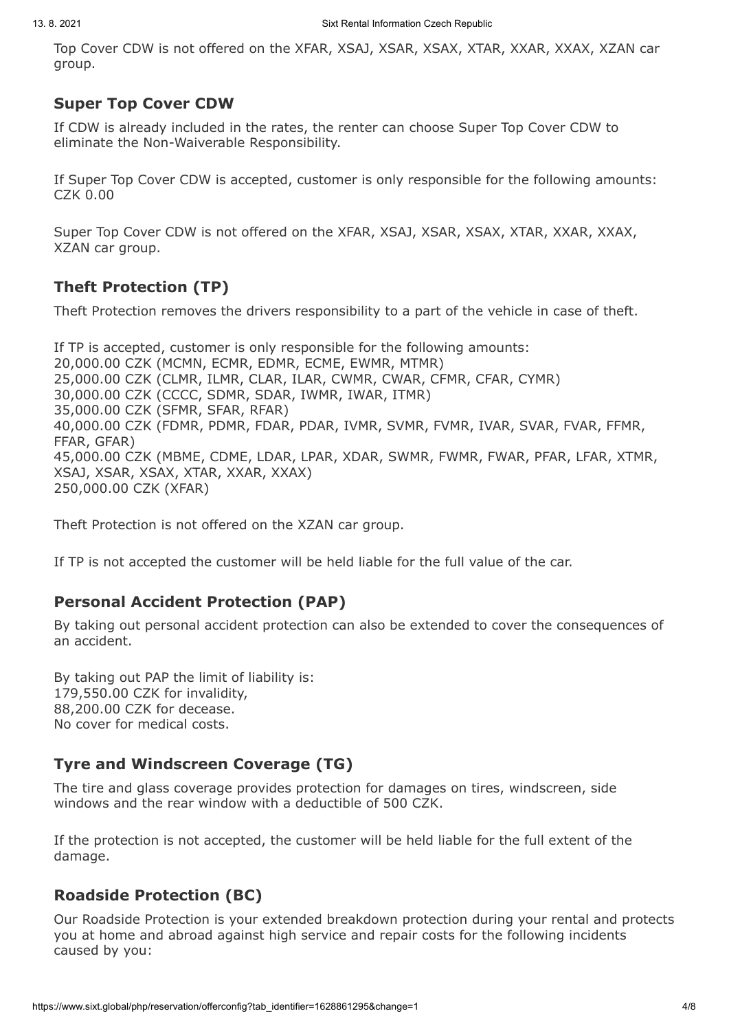Top Cover CDW is not offered on the XFAR, XSAJ, XSAR, XSAX, XTAR, XXAR, XXAX, XZAN car group.

### **Super Top Cover CDW**

If CDW is already included in the rates, the renter can choose Super Top Cover CDW to eliminate the Non-Waiverable Responsibility.

If Super Top Cover CDW is accepted, customer is only responsible for the following amounts: CZK 0.00

Super Top Cover CDW is not offered on the XFAR, XSAJ, XSAR, XSAX, XTAR, XXAR, XXAX, XZAN car group.

# **Theft Protection (TP)**

Theft Protection removes the drivers responsibility to a part of the vehicle in case of theft.

If TP is accepted, customer is only responsible for the following amounts: 20,000.00 CZK (MCMN, ECMR, EDMR, ECME, EWMR, MTMR) 25,000.00 CZK (CLMR, ILMR, CLAR, ILAR, CWMR, CWAR, CFMR, CFAR, CYMR) 30,000.00 CZK (CCCC, SDMR, SDAR, IWMR, IWAR, ITMR) 35,000.00 CZK (SFMR, SFAR, RFAR) 40,000.00 CZK (FDMR, PDMR, FDAR, PDAR, IVMR, SVMR, FVMR, IVAR, SVAR, FVAR, FFMR, FFAR, GFAR) 45,000.00 CZK (MBME, CDME, LDAR, LPAR, XDAR, SWMR, FWMR, FWAR, PFAR, LFAR, XTMR, XSAJ, XSAR, XSAX, XTAR, XXAR, XXAX) 250,000.00 CZK (XFAR)

Theft Protection is not offered on the XZAN car group.

If TP is not accepted the customer will be held liable for the full value of the car.

# **Personal Accident Protection (PAP)**

By taking out personal accident protection can also be extended to cover the consequences of an accident.

By taking out PAP the limit of liability is: 179,550.00 CZK for invalidity, 88,200.00 CZK for decease. No cover for medical costs.

# **Tyre and Windscreen Coverage (TG)**

The tire and glass coverage provides protection for damages on tires, windscreen, side windows and the rear window with a deductible of 500 CZK.

If the protection is not accepted, the customer will be held liable for the full extent of the damage.

# **Roadside Protection (BC)**

Our Roadside Protection is your extended breakdown protection during your rental and protects you at home and abroad against high service and repair costs for the following incidents caused by you: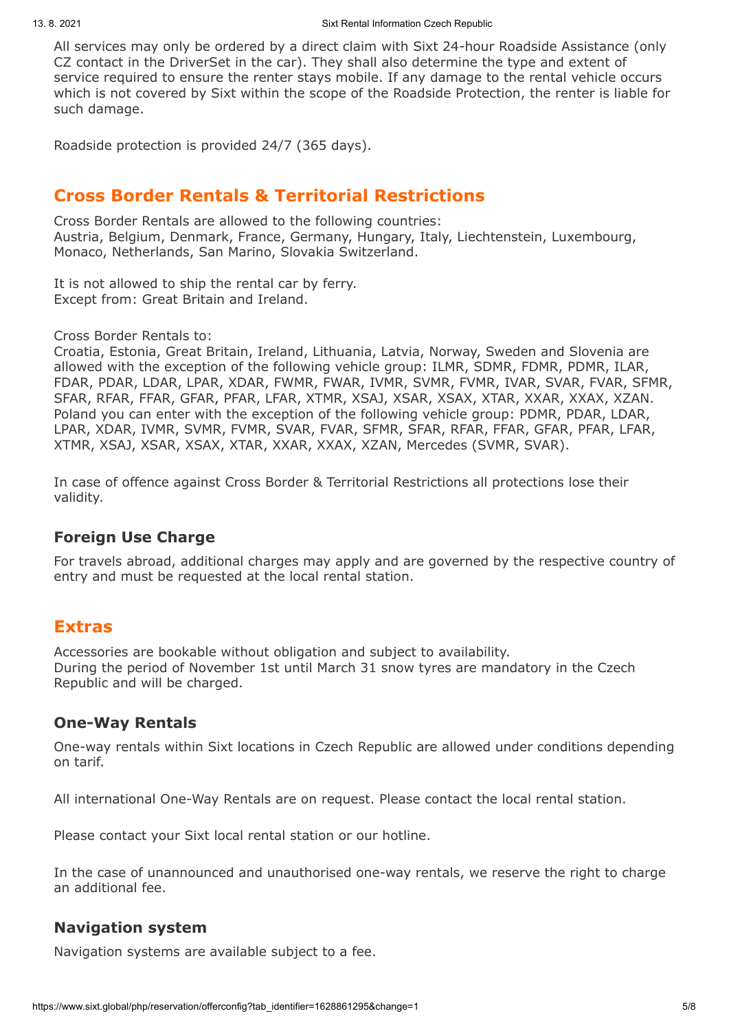All services may only be ordered by a direct claim with Sixt 24-hour Roadside Assistance (only CZ contact in the DriverSet in the car). They shall also determine the type and extent of service required to ensure the renter stays mobile. If any damage to the rental vehicle occurs which is not covered by Sixt within the scope of the Roadside Protection, the renter is liable for such damage.

Roadside protection is provided 24/7 (365 days).

# **Cross Border Rentals & Territorial Restrictions**

Cross Border Rentals are allowed to the following countries: Austria, Belgium, Denmark, France, Germany, Hungary, Italy, Liechtenstein, Luxembourg, Monaco, Netherlands, San Marino, Slovakia Switzerland.

It is not allowed to ship the rental car by ferry. Except from: Great Britain and Ireland.

Cross Border Rentals to:

Croatia, Estonia, Great Britain, Ireland, Lithuania, Latvia, Norway, Sweden and Slovenia are allowed with the exception of the following vehicle group: ILMR, SDMR, FDMR, PDMR, ILAR, FDAR, PDAR, LDAR, LPAR, XDAR, FWMR, FWAR, IVMR, SVMR, FVMR, IVAR, SVAR, FVAR, SFMR, SFAR, RFAR, FFAR, GFAR, PFAR, LFAR, XTMR, XSAJ, XSAR, XSAX, XTAR, XXAR, XXAX, XZAN. Poland you can enter with the exception of the following vehicle group: PDMR, PDAR, LDAR, LPAR, XDAR, IVMR, SVMR, FVMR, SVAR, FVAR, SFMR, SFAR, RFAR, FFAR, GFAR, PFAR, LFAR, XTMR, XSAJ, XSAR, XSAX, XTAR, XXAR, XXAX, XZAN, Mercedes (SVMR, SVAR).

In case of offence against Cross Border & Territorial Restrictions all protections lose their validity.

## **Foreign Use Charge**

For travels abroad, additional charges may apply and are governed by the respective country of entry and must be requested at the local rental station.

# **Extras**

Accessories are bookable without obligation and subject to availability. During the period of November 1st until March 31 snow tyres are mandatory in the Czech Republic and will be charged.

# **One-Way Rentals**

One-way rentals within Sixt locations in Czech Republic are allowed under conditions depending on tarif.

All international One-Way Rentals are on request. Please contact the local rental station.

Please contact your Sixt local rental station or our hotline.

In the case of unannounced and unauthorised one-way rentals, we reserve the right to charge an additional fee.

# **Navigation system**

Navigation systems are available subject to a fee.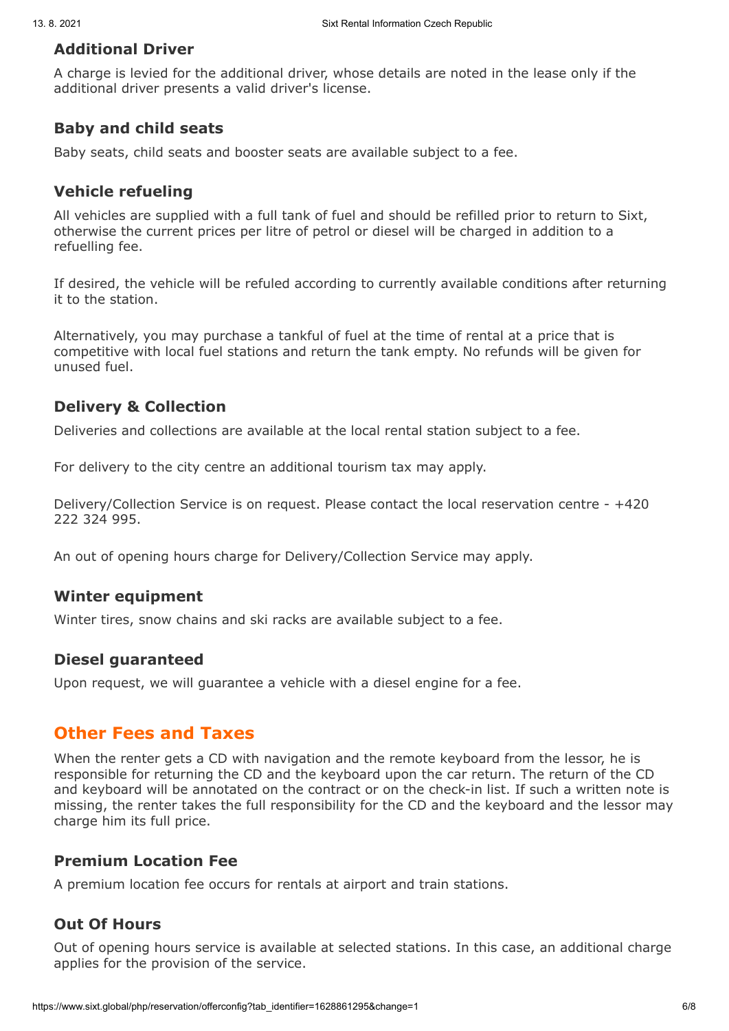### **Additional Driver**

A charge is levied for the additional driver, whose details are noted in the lease only if the additional driver presents a valid driver's license.

## **Baby and child seats**

Baby seats, child seats and booster seats are available subject to a fee.

## **Vehicle refueling**

All vehicles are supplied with a full tank of fuel and should be refilled prior to return to Sixt, otherwise the current prices per litre of petrol or diesel will be charged in addition to a refuelling fee.

If desired, the vehicle will be refuled according to currently available conditions after returning it to the station.

Alternatively, you may purchase a tankful of fuel at the time of rental at a price that is competitive with local fuel stations and return the tank empty. No refunds will be given for unused fuel.

## **Delivery & Collection**

Deliveries and collections are available at the local rental station subject to a fee.

For delivery to the city centre an additional tourism tax may apply.

Delivery/Collection Service is on request. Please contact the local reservation centre - +420 222 324 995.

An out of opening hours charge for Delivery/Collection Service may apply.

## **Winter equipment**

Winter tires, snow chains and ski racks are available subject to a fee.

## **Diesel guaranteed**

Upon request, we will guarantee a vehicle with a diesel engine for a fee.

# **Other Fees and Taxes**

When the renter gets a CD with navigation and the remote keyboard from the lessor, he is responsible for returning the CD and the keyboard upon the car return. The return of the CD and keyboard will be annotated on the contract or on the check-in list. If such a written note is missing, the renter takes the full responsibility for the CD and the keyboard and the lessor may charge him its full price.

## **Premium Location Fee**

A premium location fee occurs for rentals at airport and train stations.

## **Out Of Hours**

Out of opening hours service is available at selected stations. In this case, an additional charge applies for the provision of the service.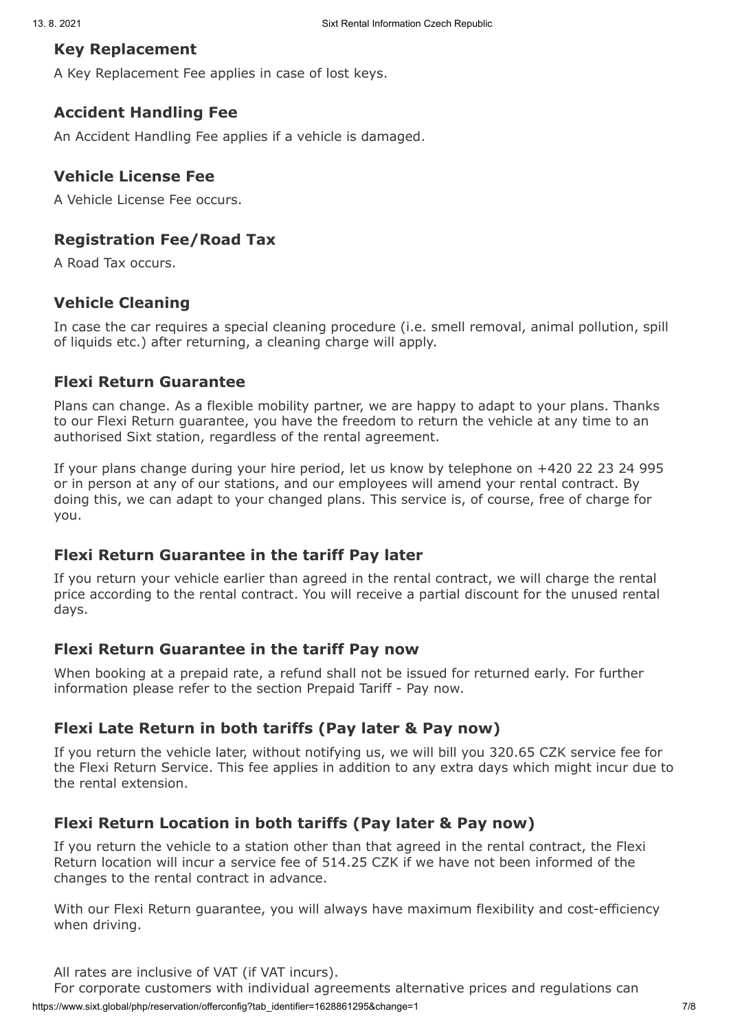#### **Key Replacement**

A Key Replacement Fee applies in case of lost keys.

#### **Accident Handling Fee**

An Accident Handling Fee applies if a vehicle is damaged.

#### **Vehicle License Fee**

A Vehicle License Fee occurs.

## **Registration Fee/Road Tax**

A Road Tax occurs.

## **Vehicle Cleaning**

In case the car requires a special cleaning procedure (i.e. smell removal, animal pollution, spill of liquids etc.) after returning, a cleaning charge will apply.

#### **Flexi Return Guarantee**

Plans can change. As a flexible mobility partner, we are happy to adapt to your plans. Thanks to our Flexi Return guarantee, you have the freedom to return the vehicle at any time to an authorised Sixt station, regardless of the rental agreement.

If your plans change during your hire period, let us know by telephone on +420 22 23 24 995 or in person at any of our stations, and our employees will amend your rental contract. By doing this, we can adapt to your changed plans. This service is, of course, free of charge for you.

#### **Flexi Return Guarantee in the tariff Pay later**

If you return your vehicle earlier than agreed in the rental contract, we will charge the rental price according to the rental contract. You will receive a partial discount for the unused rental days.

#### **Flexi Return Guarantee in the tariff Pay now**

When booking at a prepaid rate, a refund shall not be issued for returned early. For further information please refer to the section Prepaid Tariff - Pay now.

## **Flexi Late Return in both tariffs (Pay later & Pay now)**

If you return the vehicle later, without notifying us, we will bill you 320.65 CZK service fee for the Flexi Return Service. This fee applies in addition to any extra days which might incur due to the rental extension.

## **Flexi Return Location in both tariffs (Pay later & Pay now)**

If you return the vehicle to a station other than that agreed in the rental contract, the Flexi Return location will incur a service fee of 514.25 CZK if we have not been informed of the changes to the rental contract in advance.

With our Flexi Return guarantee, you will always have maximum flexibility and cost-efficiency when driving.

All rates are inclusive of VAT (if VAT incurs).

For corporate customers with individual agreements alternative prices and regulations can